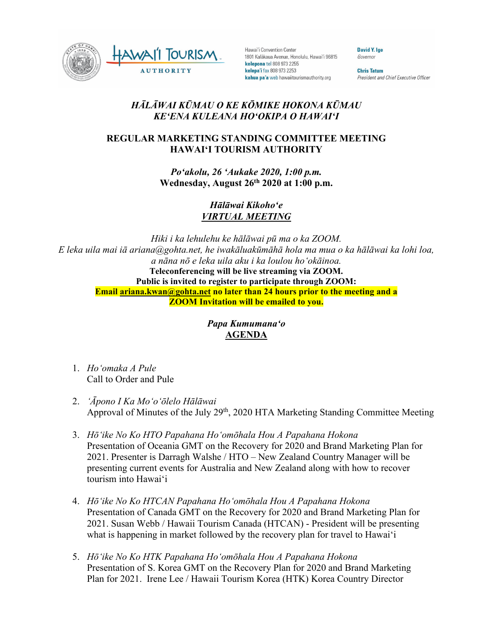

Hawai'i Convention Center 1801 Kalākaua Avenue, Honolulu, Hawai'i 96815 kelepona tel 808 973 2255 kelepa'i fax 808 973 2253 kahua pa'a web hawaiitourismauthority.org

**David Y. Ige** Governor

**Chris Tatum** President and Chief Executive Officer

## *HĀLĀWAI KŪMAU O KE KŌMIKE HOKONA KŪMAU KEʻENA KULEANA HOʻOKIPA O HAWAIʻI*

## **REGULAR MARKETING STANDING COMMITTEE MEETING HAWAI'I TOURISM AUTHORITY**

*Poʻakolu, 26 ʻAukake 2020, 1:00 p.m.* **Wednesday, August 26th 2020 at 1:00 p.m.**

> *Hālāwai Kikohoʻe VIRTUAL MEETING*

*Hiki i ka lehulehu ke hālāwai pū ma o ka ZOOM. E leka uila mai iā ariana@gohta.net, he iwakāluakūmāhā hola ma mua o ka hālāwai ka lohi loa, a nāna nō e leka uila aku i ka loulou hoʻokāinoa.* **Teleconferencing will be live streaming via ZOOM. Public is invited to register to participate through ZOOM: Email [ariana.kwan@gohta.net](mailto:ariana.kwan@gohta.net) no later than 24 hours prior to the meeting and a ZOOM Invitation will be emailed to you.**

> *Papa Kumumanaʻo* **AGENDA**

- 1. *Hoʻomaka A Pule* Call to Order and Pule
- 2. *ʻĀpono I Ka Moʻoʻōlelo Hālāwai* Approval of Minutes of the July  $29<sup>th</sup>$ , 2020 HTA Marketing Standing Committee Meeting
- 3. *Hōʻike No Ko HTO Papahana Hoʻomōhala Hou A Papahana Hokona* Presentation of Oceania GMT on the Recovery for 2020 and Brand Marketing Plan for 2021. Presenter is Darragh Walshe / HTO – New Zealand Country Manager will be presenting current events for Australia and New Zealand along with how to recover tourism into Hawaiʻi
- 4. *Hōʻike No Ko HTCAN Papahana Hoʻomōhala Hou A Papahana Hokona* Presentation of Canada GMT on the Recovery for 2020 and Brand Marketing Plan for 2021. Susan Webb / Hawaii Tourism Canada (HTCAN) - President will be presenting what is happening in market followed by the recovery plan for travel to Hawaiʻi
- 5. *Hōʻike No Ko HTK Papahana Hoʻomōhala Hou A Papahana Hokona* Presentation of S. Korea GMT on the Recovery Plan for 2020 and Brand Marketing Plan for 2021. Irene Lee / Hawaii Tourism Korea (HTK) Korea Country Director